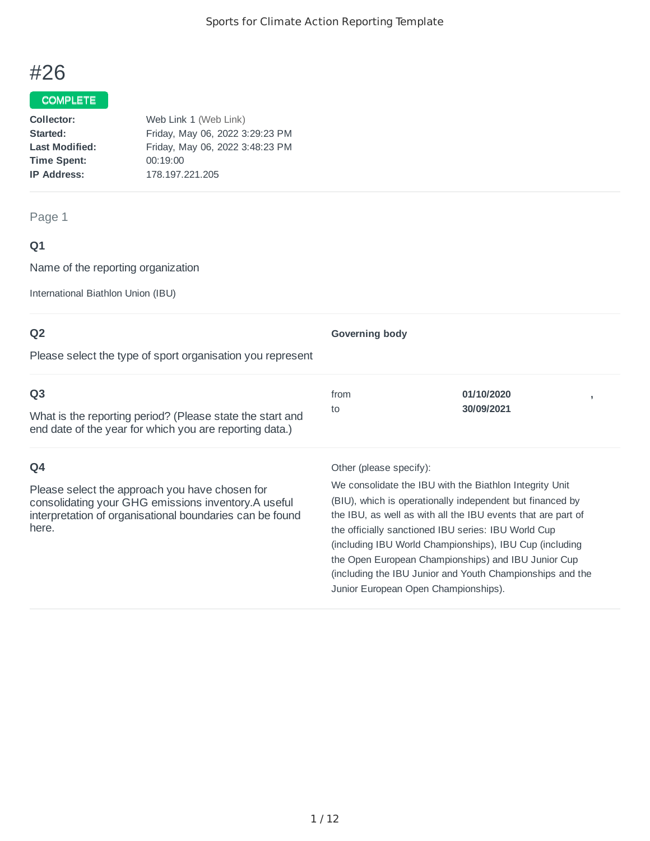# #26

## COMPLETE

| Web Link 1 (Web Link)           |
|---------------------------------|
| Friday, May 06, 2022 3:29:23 PM |
| Friday, May 06, 2022 3:48:23 PM |
| 00:19:00                        |
| 178.197.221.205                 |
|                                 |

## Page 1

# **Q1**

Name of the reporting organization

International Biathlon Union (IBU)

| Q <sub>2</sub>                                                                                                                                                              | <b>Governing body</b>   |                                                                                                                                                                                                                                             |  |
|-----------------------------------------------------------------------------------------------------------------------------------------------------------------------------|-------------------------|---------------------------------------------------------------------------------------------------------------------------------------------------------------------------------------------------------------------------------------------|--|
| Please select the type of sport organisation you represent                                                                                                                  |                         |                                                                                                                                                                                                                                             |  |
| Q <sub>3</sub>                                                                                                                                                              | from                    | 01/10/2020                                                                                                                                                                                                                                  |  |
| What is the reporting period? (Please state the start and<br>end date of the year for which you are reporting data.)                                                        | to                      | 30/09/2021                                                                                                                                                                                                                                  |  |
| Q4                                                                                                                                                                          | Other (please specify): |                                                                                                                                                                                                                                             |  |
| Please select the approach you have chosen for<br>consolidating your GHG emissions inventory. A useful<br>interpretation of organisational boundaries can be found<br>here. |                         | We consolidate the IBU with the Biathlon Integrity Unit<br>(BIU), which is operationally independent but financed by<br>the IBU, as well as with all the IBU events that are part of<br>the officially sanctioned IBU series: IBU World Cun |  |

the officially sanctioned IBU series: IBU World Cup (including IBU World Championships), IBU Cup (including the Open European Championships) and IBU Junior Cup (including the IBU Junior and Youth Championships and the Junior European Open Championships).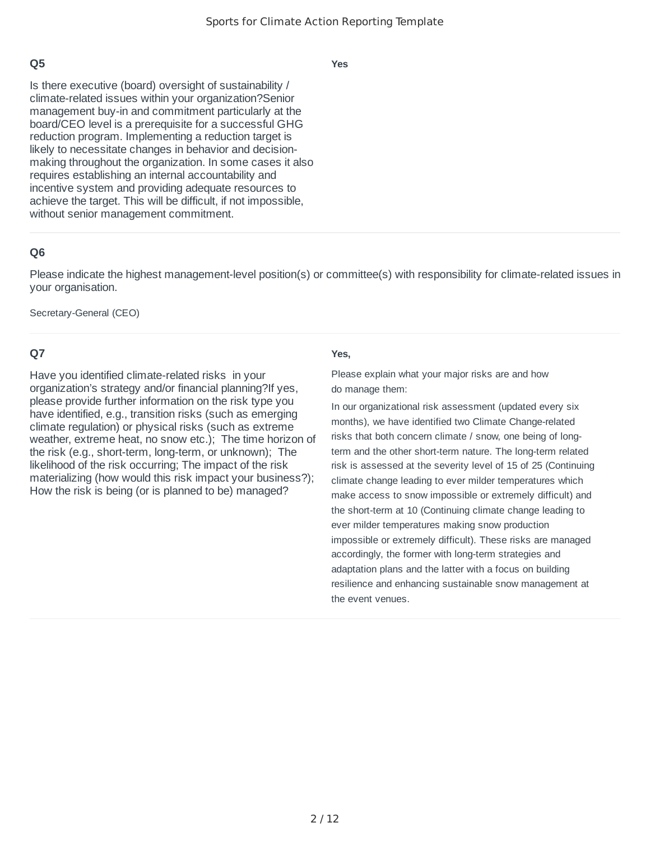**Yes**

Is there executive (board) oversight of sustainability / climate-related issues within your organization?Senior management buy-in and commitment particularly at the board/CEO level is a prerequisite for a successful GHG reduction program. Implementing a reduction target is likely to necessitate changes in behavior and decisionmaking throughout the organization. In some cases it also requires establishing an internal accountability and incentive system and providing adequate resources to achieve the target. This will be difficult, if not impossible, without senior management commitment.

## **Q6**

Please indicate the highest management-level position(s) or committee(s) with responsibility for climate-related issues in your organisation.

Secretary-General (CEO)

## **Q7**

Have you identified climate-related risks in your organization's strategy and/or financial planning?If yes, please provide further information on the risk type you have identified, e.g., transition risks (such as emerging climate regulation) or physical risks (such as extreme weather, extreme heat, no snow etc.); The time horizon of the risk (e.g., short-term, long-term, or unknown); The likelihood of the risk occurring; The impact of the risk materializing (how would this risk impact your business?); How the risk is being (or is planned to be) managed?

#### **Yes,**

Please explain what your major risks are and how do manage them:

In our organizational risk assessment (updated every six months), we have identified two Climate Change-related risks that both concern climate / snow, one being of longterm and the other short-term nature. The long-term related risk is assessed at the severity level of 15 of 25 (Continuing climate change leading to ever milder temperatures which make access to snow impossible or extremely difficult) and the short-term at 10 (Continuing climate change leading to ever milder temperatures making snow production impossible or extremely difficult). These risks are managed accordingly, the former with long-term strategies and adaptation plans and the latter with a focus on building resilience and enhancing sustainable snow management at the event venues.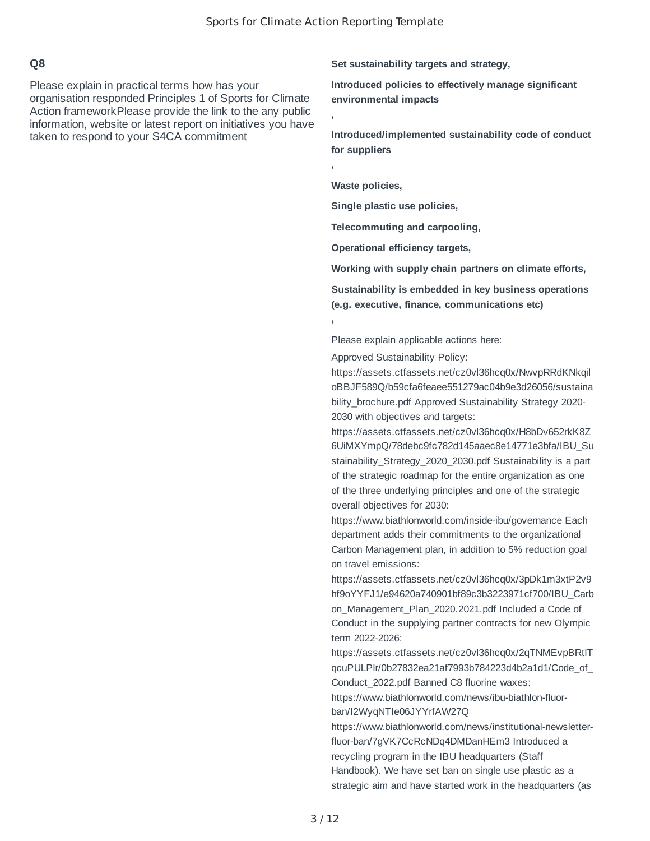**,**

**,**

**,**

#### **Q8**

Please explain in practical terms how has your organisation responded Principles 1 of Sports for Climate Action frameworkPlease provide the link to the any public information, website or latest report on initiatives you have taken to respond to your S4CA commitment

**Set sustainability targets and strategy,**

**Introduced policies to effectively manage significant environmental impacts**

**Introduced/implemented sustainability code of conduct for suppliers**

**Waste policies,**

**Single plastic use policies,**

**Telecommuting and carpooling,**

**Operational efficiency targets,**

**Working with supply chain partners on climate efforts,**

**Sustainability is embedded in key business operations (e.g. executive, finance, communications etc)**

Please explain applicable actions here:

Approved Sustainability Policy:

https://assets.ctfassets.net/cz0vl36hcq0x/NwvpRRdKNkqil oBBJF589Q/b59cfa6feaee551279ac04b9e3d26056/sustaina bility brochure.pdf Approved Sustainability Strategy 2020-2030 with objectives and targets:

https://assets.ctfassets.net/cz0vl36hcq0x/H8bDv652rkK8Z 6UiMXYmpQ/78debc9fc782d145aaec8e14771e3bfa/IBU\_Su stainability Strategy 2020 2030.pdf Sustainability is a part of the strategic roadmap for the entire organization as one of the three underlying principles and one of the strategic overall objectives for 2030:

https://www.biathlonworld.com/inside-ibu/governance Each department adds their commitments to the organizational Carbon Management plan, in addition to 5% reduction goal on travel emissions:

https://assets.ctfassets.net/cz0vl36hcq0x/3pDk1m3xtP2v9 hf9oYYFJ1/e94620a740901bf89c3b3223971cf700/IBU\_Carb on Management Plan 2020.2021.pdf Included a Code of Conduct in the supplying partner contracts for new Olympic term 2022-2026:

https://assets.ctfassets.net/cz0vl36hcq0x/2qTNMEvpBRtlT qcuPULPlr/0b27832ea21af7993b784223d4b2a1d1/Code\_of\_ Conduct\_2022.pdf Banned C8 fluorine waxes:

https://www.biathlonworld.com/news/ibu-biathlon-fluorban/I2WyqNTIe06JYYrfAW27Q

https://www.biathlonworld.com/news/institutional-newsletterfluor-ban/7gVK7CcRcNDq4DMDanHEm3 Introduced a recycling program in the IBU headquarters (Staff Handbook). We have set ban on single use plastic as a strategic aim and have started work in the headquarters (as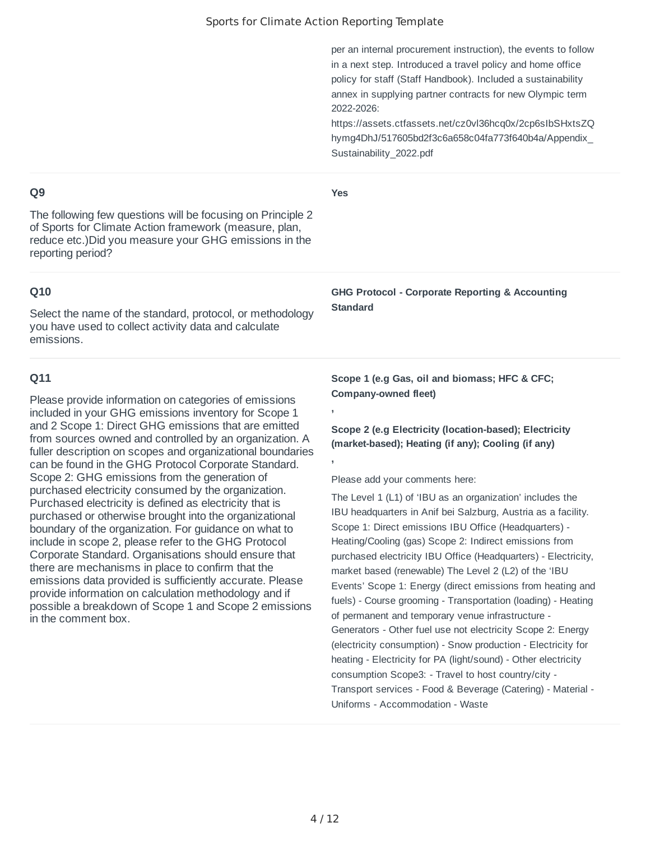**Yes**

**,**

**,**

per an internal procurement instruction), the events to follow in a next step. Introduced a travel policy and home office policy for staff (Staff Handbook). Included a sustainability annex in supplying partner contracts for new Olympic term 2022-2026:

https://assets.ctfassets.net/cz0vl36hcq0x/2cp6sIbSHxtsZQ hymg4DhJ/517605bd2f3c6a658c04fa773f640b4a/Appendix\_ Sustainability\_2022.pdf

## **Q9**

The following few questions will be focusing on Principle 2 of Sports for Climate Action framework (measure, plan, reduce etc.)Did you measure your GHG emissions in the reporting period?

## **Q10**

Select the name of the standard, protocol, or methodology you have used to collect activity data and calculate emissions.

## **Q11**

Please provide information on categories of emissions included in your GHG emissions inventory for Scope 1 and 2 Scope 1: Direct GHG emissions that are emitted from sources owned and controlled by an organization. A fuller description on scopes and organizational boundaries can be found in the GHG Protocol Corporate Standard. Scope 2: GHG emissions from the generation of purchased electricity consumed by the organization. Purchased electricity is defined as electricity that is purchased or otherwise brought into the organizational boundary of the organization. For guidance on what to include in scope 2, please refer to the GHG Protocol Corporate Standard. Organisations should ensure that there are mechanisms in place to confirm that the emissions data provided is sufficiently accurate. Please provide information on calculation methodology and if possible a breakdown of Scope 1 and Scope 2 emissions in the comment box.

**GHG Protocol - Corporate Reporting & Accounting Standard**

**Scope 1 (e.g Gas, oil and biomass; HFC & CFC; Company-owned fleet)**

**Scope 2 (e.g Electricity (location-based); Electricity (market-based); Heating (if any); Cooling (if any)**

Please add your comments here:

The Level 1 (L1) of 'IBU as an organization' includes the IBU headquarters in Anif bei Salzburg, Austria as a facility. Scope 1: Direct emissions IBU Office (Headquarters) - Heating/Cooling (gas) Scope 2: Indirect emissions from purchased electricity IBU Office (Headquarters) - Electricity, market based (renewable) The Level 2 (L2) of the 'IBU Events' Scope 1: Energy (direct emissions from heating and fuels) - Course grooming - Transportation (loading) - Heating of permanent and temporary venue infrastructure - Generators - Other fuel use not electricity Scope 2: Energy (electricity consumption) - Snow production - Electricity for heating - Electricity for PA (light/sound) - Other electricity consumption Scope3: - Travel to host country/city - Transport services - Food & Beverage (Catering) - Material - Uniforms - Accommodation - Waste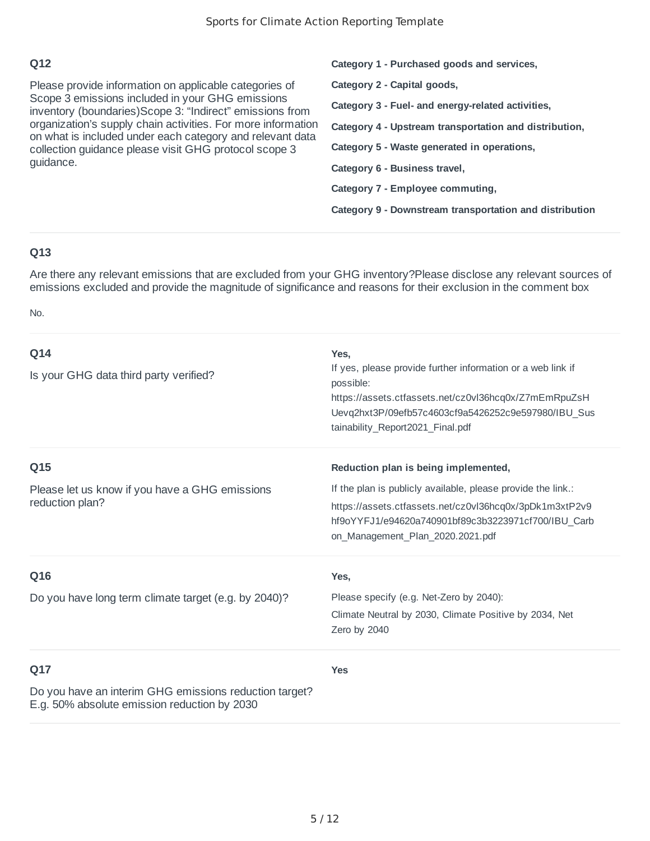Please provide information on applicable categories of Scope 3 emissions included in your GHG emissions inventory (boundaries)Scope 3: "Indirect" emissions from organization's supply chain activities. For more information on what is included under each category and relevant data collection guidance please visit GHG protocol scope 3 guidance.

**Category 2 - Capital goods, Category 3 - Fuel- and energy-related activities, Category 4 - Upstream transportation and distribution, Category 5 - Waste generated in operations, Category 6 - Business travel, Category 7 - Employee commuting, Category 9 - Downstream transportation and distribution**

**Category 1 - Purchased goods and services,**

## **Q13**

Are there any relevant emissions that are excluded from your GHG inventory?Please disclose any relevant sources of emissions excluded and provide the magnitude of significance and reasons for their exclusion in the comment box

No.

| Q14<br>Is your GHG data third party verified?                                                                 | Yes.<br>If yes, please provide further information or a web link if<br>possible:<br>https://assets.ctfassets.net/cz0vl36hcq0x/Z7mEmRpuZsH<br>Uevq2hxt3P/09efb57c4603cf9a5426252c9e597980/IBU Sus<br>tainability Report2021 Final.pdf |
|---------------------------------------------------------------------------------------------------------------|--------------------------------------------------------------------------------------------------------------------------------------------------------------------------------------------------------------------------------------|
| Q15                                                                                                           | Reduction plan is being implemented,                                                                                                                                                                                                 |
| Please let us know if you have a GHG emissions<br>reduction plan?                                             | If the plan is publicly available, please provide the link.:<br>https://assets.ctfassets.net/cz0vl36hcq0x/3pDk1m3xtP2v9<br>hf9oYYFJ1/e94620a740901bf89c3b3223971cf700/IBU Carb<br>on Management Plan 2020.2021.pdf                   |
| Q16                                                                                                           | Yes,                                                                                                                                                                                                                                 |
| Do you have long term climate target (e.g. by 2040)?                                                          | Please specify (e.g. Net-Zero by 2040):<br>Climate Neutral by 2030, Climate Positive by 2034, Net<br>Zero by 2040                                                                                                                    |
| Q17<br>Do you have an interim GHG emissions reduction target?<br>E.g. 50% absolute emission reduction by 2030 | <b>Yes</b>                                                                                                                                                                                                                           |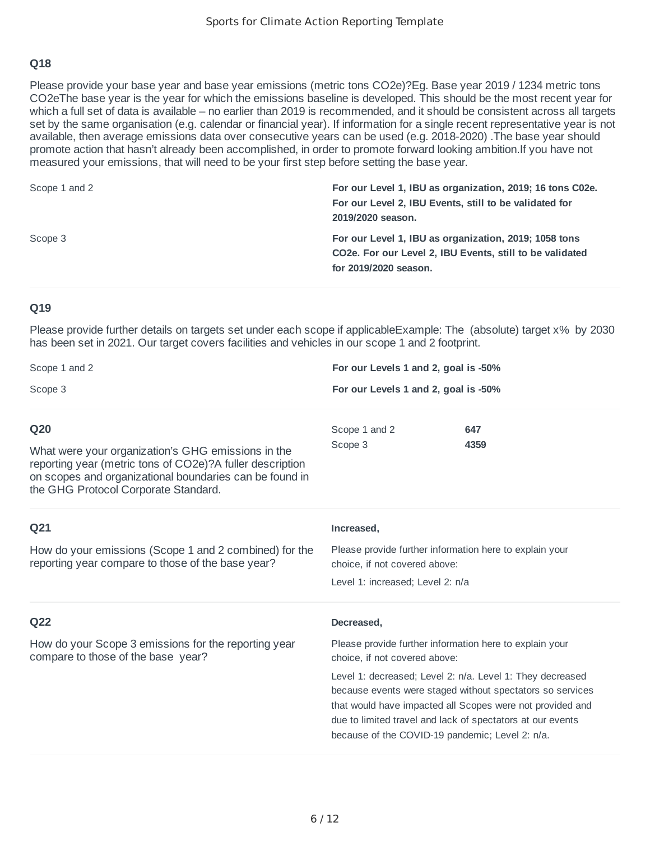Please provide your base year and base year emissions (metric tons CO2e)?Eg. Base year 2019 / 1234 metric tons CO2eThe base year is the year for which the emissions baseline is developed. This should be the most recent year for which a full set of data is available – no earlier than 2019 is recommended, and it should be consistent across all targets set by the same organisation (e.g. calendar or financial year). If information for a single recent representative year is not available, then average emissions data over consecutive years can be used (e.g. 2018-2020) .The base year should promote action that hasn't already been accomplished, in order to promote forward looking ambition.If you have not measured your emissions, that will need to be your first step before setting the base year.

| Scope 1 and 2 | For our Level 1, IBU as organization, 2019; 16 tons C02e.<br>For our Level 2, IBU Events, still to be validated for<br>2019/2020 season.                |
|---------------|---------------------------------------------------------------------------------------------------------------------------------------------------------|
| Scope 3       | For our Level 1, IBU as organization, 2019; 1058 tons<br>CO <sub>2</sub> e. For our Level 2, IBU Events, still to be validated<br>for 2019/2020 season. |

#### **Q19**

Please provide further details on targets set under each scope if applicableExample: The (absolute) target x% by 2030 has been set in 2021. Our target covers facilities and vehicles in our scope 1 and 2 footprint.

| Scope 1 and 2<br>Scope 3<br>Q20<br>What were your organization's GHG emissions in the<br>reporting year (metric tons of CO2e)?A fuller description<br>on scopes and organizational boundaries can be found in<br>the GHG Protocol Corporate Standard. | For our Levels 1 and 2, goal is -50%                                                                                                                                                                                                                                                                 |  |
|-------------------------------------------------------------------------------------------------------------------------------------------------------------------------------------------------------------------------------------------------------|------------------------------------------------------------------------------------------------------------------------------------------------------------------------------------------------------------------------------------------------------------------------------------------------------|--|
|                                                                                                                                                                                                                                                       | For our Levels 1 and 2, goal is -50%                                                                                                                                                                                                                                                                 |  |
|                                                                                                                                                                                                                                                       | Scope 1 and 2<br>647<br>Scope 3<br>4359                                                                                                                                                                                                                                                              |  |
| Q21                                                                                                                                                                                                                                                   | Increased,                                                                                                                                                                                                                                                                                           |  |
| How do your emissions (Scope 1 and 2 combined) for the<br>reporting year compare to those of the base year?                                                                                                                                           | Please provide further information here to explain your<br>choice, if not covered above:                                                                                                                                                                                                             |  |
|                                                                                                                                                                                                                                                       | Level 1: increased; Level 2: n/a                                                                                                                                                                                                                                                                     |  |
| Q22                                                                                                                                                                                                                                                   | Decreased,                                                                                                                                                                                                                                                                                           |  |
| How do your Scope 3 emissions for the reporting year<br>compare to those of the base year?                                                                                                                                                            | Please provide further information here to explain your<br>choice, if not covered above:                                                                                                                                                                                                             |  |
|                                                                                                                                                                                                                                                       | Level 1: decreased; Level 2: n/a. Level 1: They decreased<br>because events were staged without spectators so services<br>that would have impacted all Scopes were not provided and<br>due to limited travel and lack of spectators at our events<br>because of the COVID-19 pandemic; Level 2: n/a. |  |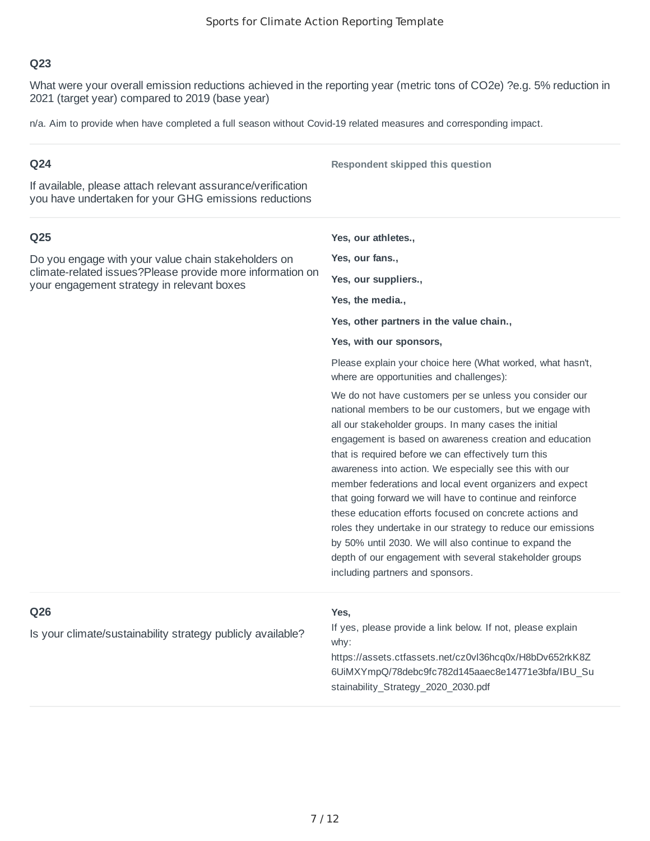What were your overall emission reductions achieved in the reporting year (metric tons of CO2e) ?e.g. 5% reduction in 2021 (target year) compared to 2019 (base year)

n/a. Aim to provide when have completed a full season without Covid-19 related measures and corresponding impact.

| Q <sub>24</sub>                                                                                                      | Respondent skipped this question                                                                                                                                                                                                                                                                                                                                                                                                                                                                                                                                                                                                                                                                                                                                       |
|----------------------------------------------------------------------------------------------------------------------|------------------------------------------------------------------------------------------------------------------------------------------------------------------------------------------------------------------------------------------------------------------------------------------------------------------------------------------------------------------------------------------------------------------------------------------------------------------------------------------------------------------------------------------------------------------------------------------------------------------------------------------------------------------------------------------------------------------------------------------------------------------------|
| If available, please attach relevant assurance/verification<br>you have undertaken for your GHG emissions reductions |                                                                                                                                                                                                                                                                                                                                                                                                                                                                                                                                                                                                                                                                                                                                                                        |
| Q <sub>25</sub>                                                                                                      | Yes, our athletes.,                                                                                                                                                                                                                                                                                                                                                                                                                                                                                                                                                                                                                                                                                                                                                    |
| Do you engage with your value chain stakeholders on                                                                  | Yes, our fans.,                                                                                                                                                                                                                                                                                                                                                                                                                                                                                                                                                                                                                                                                                                                                                        |
| climate-related issues?Please provide more information on<br>your engagement strategy in relevant boxes              | Yes, our suppliers.,                                                                                                                                                                                                                                                                                                                                                                                                                                                                                                                                                                                                                                                                                                                                                   |
|                                                                                                                      | Yes, the media.,                                                                                                                                                                                                                                                                                                                                                                                                                                                                                                                                                                                                                                                                                                                                                       |
|                                                                                                                      | Yes, other partners in the value chain.,                                                                                                                                                                                                                                                                                                                                                                                                                                                                                                                                                                                                                                                                                                                               |
|                                                                                                                      | Yes, with our sponsors,                                                                                                                                                                                                                                                                                                                                                                                                                                                                                                                                                                                                                                                                                                                                                |
|                                                                                                                      | Please explain your choice here (What worked, what hasn't,<br>where are opportunities and challenges):                                                                                                                                                                                                                                                                                                                                                                                                                                                                                                                                                                                                                                                                 |
|                                                                                                                      | We do not have customers per se unless you consider our<br>national members to be our customers, but we engage with<br>all our stakeholder groups. In many cases the initial<br>engagement is based on awareness creation and education<br>that is required before we can effectively turn this<br>awareness into action. We especially see this with our<br>member federations and local event organizers and expect<br>that going forward we will have to continue and reinforce<br>these education efforts focused on concrete actions and<br>roles they undertake in our strategy to reduce our emissions<br>by 50% until 2030. We will also continue to expand the<br>depth of our engagement with several stakeholder groups<br>including partners and sponsors. |
| Q26<br>Is your climate/sustainability strategy publicly available?                                                   | Yes,<br>If yes, please provide a link below. If not, please explain<br>why:<br>https://assets.ctfassets.net/cz0vl36hcq0x/H8bDv652rkK8Z<br>6UiMXYmpQ/78debc9fc782d145aaec8e14771e3bfa/IBU_Su<br>stainability_Strategy_2020_2030.pdf                                                                                                                                                                                                                                                                                                                                                                                                                                                                                                                                     |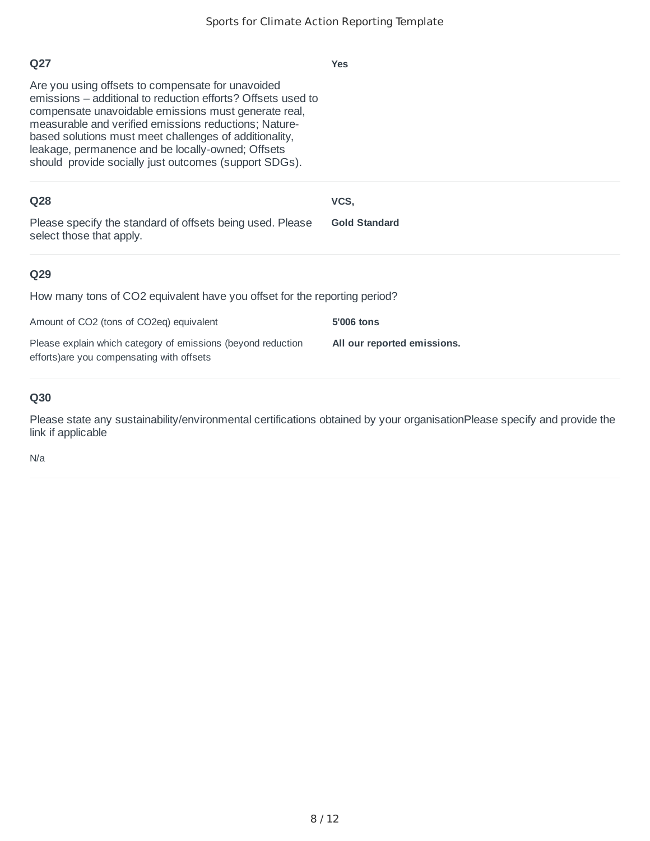| Q27<br>Are you using offsets to compensate for unavoided<br>emissions – additional to reduction efforts? Offsets used to<br>compensate unavoidable emissions must generate real,<br>measurable and verified emissions reductions; Nature-<br>based solutions must meet challenges of additionality,<br>leakage, permanence and be locally-owned; Offsets<br>should provide socially just outcomes (support SDGs). | <b>Yes</b>                                |
|-------------------------------------------------------------------------------------------------------------------------------------------------------------------------------------------------------------------------------------------------------------------------------------------------------------------------------------------------------------------------------------------------------------------|-------------------------------------------|
| <b>Q28</b><br>Please specify the standard of offsets being used. Please<br>select those that apply.                                                                                                                                                                                                                                                                                                               | VCS,<br><b>Gold Standard</b>              |
| Q29<br>How many tons of CO2 equivalent have you offset for the reporting period?<br>Amount of CO2 (tons of CO2eq) equivalent<br>Please explain which category of emissions (beyond reduction<br>efforts) are you compensating with offsets                                                                                                                                                                        | 5'006 tons<br>All our reported emissions. |

Please state any sustainability/environmental certifications obtained by your organisationPlease specify and provide the link if applicable

N/a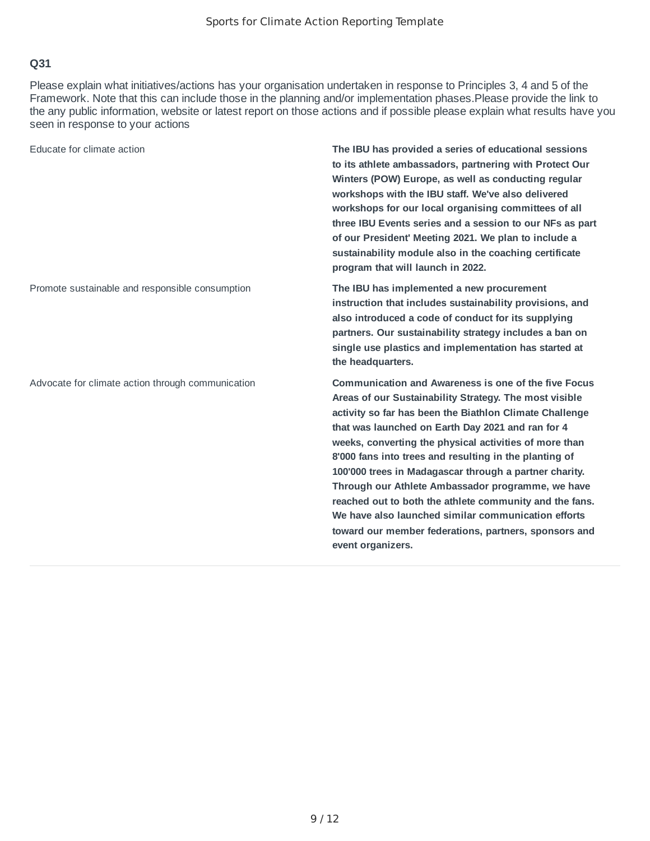Please explain what initiatives/actions has your organisation undertaken in response to Principles 3, 4 and 5 of the Framework. Note that this can include those in the planning and/or implementation phases.Please provide the link to the any public information, website or latest report on those actions and if possible please explain what results have you seen in response to your actions

| Educate for climate action                        | The IBU has provided a series of educational sessions<br>to its athlete ambassadors, partnering with Protect Our<br>Winters (POW) Europe, as well as conducting regular<br>workshops with the IBU staff. We've also delivered<br>workshops for our local organising committees of all<br>three IBU Events series and a session to our NFs as part<br>of our President' Meeting 2021. We plan to include a<br>sustainability module also in the coaching certificate<br>program that will launch in 2022.                                                                                                                                                                 |
|---------------------------------------------------|--------------------------------------------------------------------------------------------------------------------------------------------------------------------------------------------------------------------------------------------------------------------------------------------------------------------------------------------------------------------------------------------------------------------------------------------------------------------------------------------------------------------------------------------------------------------------------------------------------------------------------------------------------------------------|
| Promote sustainable and responsible consumption   | The IBU has implemented a new procurement<br>instruction that includes sustainability provisions, and<br>also introduced a code of conduct for its supplying<br>partners. Our sustainability strategy includes a ban on<br>single use plastics and implementation has started at<br>the headquarters.                                                                                                                                                                                                                                                                                                                                                                    |
| Advocate for climate action through communication | <b>Communication and Awareness is one of the five Focus</b><br>Areas of our Sustainability Strategy. The most visible<br>activity so far has been the Biathlon Climate Challenge<br>that was launched on Earth Day 2021 and ran for 4<br>weeks, converting the physical activities of more than<br>8'000 fans into trees and resulting in the planting of<br>100'000 trees in Madagascar through a partner charity.<br>Through our Athlete Ambassador programme, we have<br>reached out to both the athlete community and the fans.<br>We have also launched similar communication efforts<br>toward our member federations, partners, sponsors and<br>event organizers. |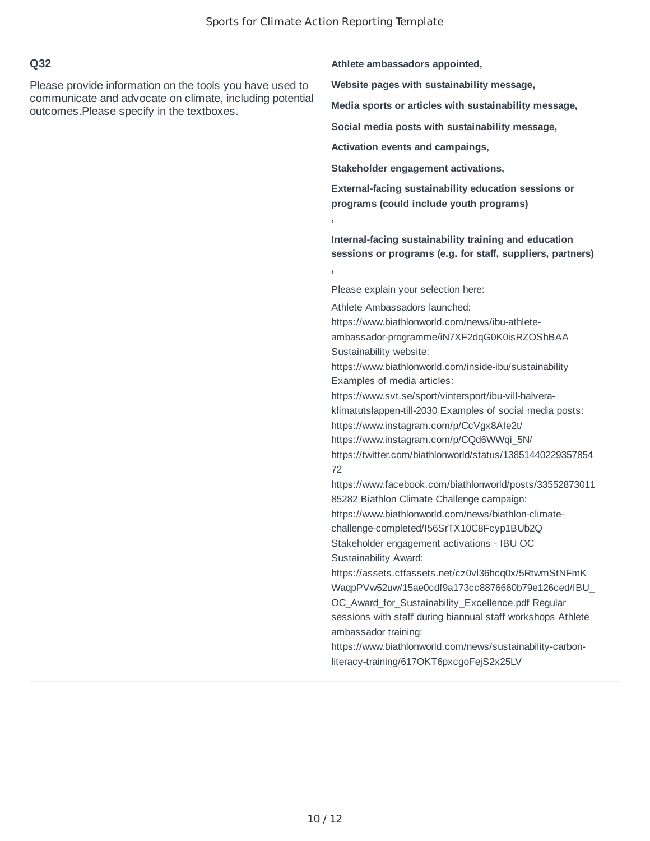**,**

**,**

#### **Q32**

Please provide information on the tools you have used to communicate and advocate on climate, including potential outcomes.Please specify in the textboxes.

**Athlete ambassadors appointed,**

**Website pages with sustainability message,**

**Media sports or articles with sustainability message,**

**Social media posts with sustainability message,**

**Activation events and campaings,**

**Stakeholder engagement activations,**

**External-facing sustainability education sessions or programs (could include youth programs)**

**Internal-facing sustainability training and education sessions or programs (e.g. for staff, suppliers, partners)**

Please explain your selection here:

Athlete Ambassadors launched: https://www.biathlonworld.com/news/ibu-athleteambassador-programme/iN7XF2dqG0K0isRZOShBAA Sustainability website: https://www.biathlonworld.com/inside-ibu/sustainability Examples of media articles: https://www.svt.se/sport/vintersport/ibu-vill-halveraklimatutslappen-till-2030 Examples of social media posts: https://www.instagram.com/p/CcVgx8AIe2t/ https://www.instagram.com/p/CQd6WWqi\_5N/ https://twitter.com/biathlonworld/status/13851440229357854 72 https://www.facebook.com/biathlonworld/posts/33552873011 85282 Biathlon Climate Challenge campaign: https://www.biathlonworld.com/news/biathlon-climatechallenge-completed/I56SrTX10C8Fcyp1BUb2Q Stakeholder engagement activations - IBU OC Sustainability Award: https://assets.ctfassets.net/cz0vl36hcq0x/5RtwmStNFmK WaqpPVw52uw/15ae0cdf9a173cc8876660b79e126ced/IBU\_ OC Award for Sustainability Excellence.pdf Regular sessions with staff during biannual staff workshops Athlete ambassador training: https://www.biathlonworld.com/news/sustainability-carbonliteracy-training/617OKT6pxcgoFejS2x25LV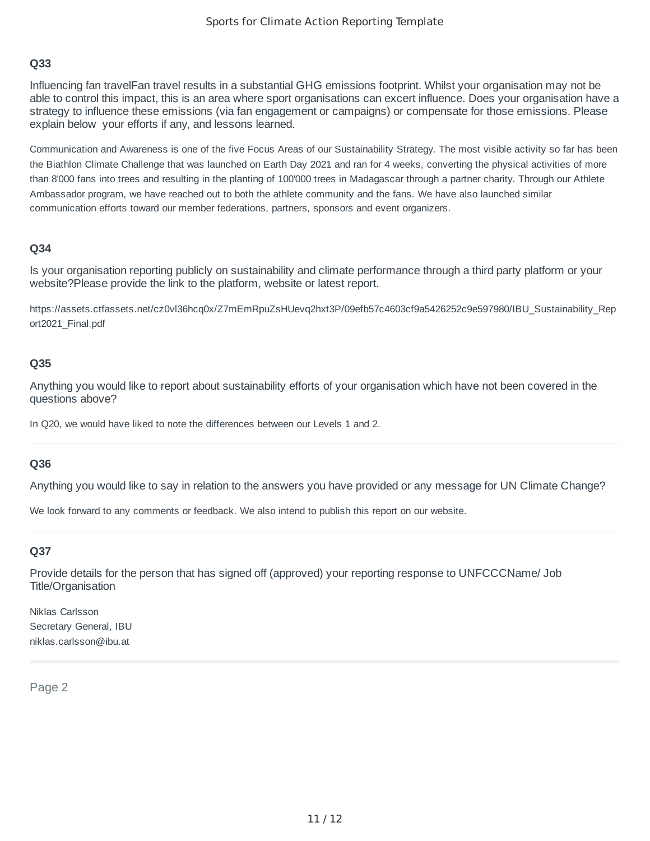Influencing fan travelFan travel results in a substantial GHG emissions footprint. Whilst your organisation may not be able to control this impact, this is an area where sport organisations can excert influence. Does your organisation have a strategy to influence these emissions (via fan engagement or campaigns) or compensate for those emissions. Please explain below your efforts if any, and lessons learned.

Communication and Awareness is one of the five Focus Areas of our Sustainability Strategy. The most visible activity so far has been the Biathlon Climate Challenge that was launched on Earth Day 2021 and ran for 4 weeks, converting the physical activities of more than 8'000 fans into trees and resulting in the planting of 100'000 trees in Madagascar through a partner charity. Through our Athlete Ambassador program, we have reached out to both the athlete community and the fans. We have also launched similar communication efforts toward our member federations, partners, sponsors and event organizers.

#### **Q34**

Is your organisation reporting publicly on sustainability and climate performance through a third party platform or your website?Please provide the link to the platform, website or latest report.

https://assets.ctfassets.net/cz0vl36hcq0x/Z7mEmRpuZsHUevq2hxt3P/09efb57c4603cf9a5426252c9e597980/IBU\_Sustainability\_Rep ort2021\_Final.pdf

#### **Q35**

Anything you would like to report about sustainability efforts of your organisation which have not been covered in the questions above?

In Q20, we would have liked to note the differences between our Levels 1 and 2.

#### **Q36**

Anything you would like to say in relation to the answers you have provided or any message for UN Climate Change?

We look forward to any comments or feedback. We also intend to publish this report on our website.

#### **Q37**

Provide details for the person that has signed off (approved) your reporting response to UNFCCCName/ Job Title/Organisation

Niklas Carlsson Secretary General, IBU niklas.carlsson@ibu.at

Page 2